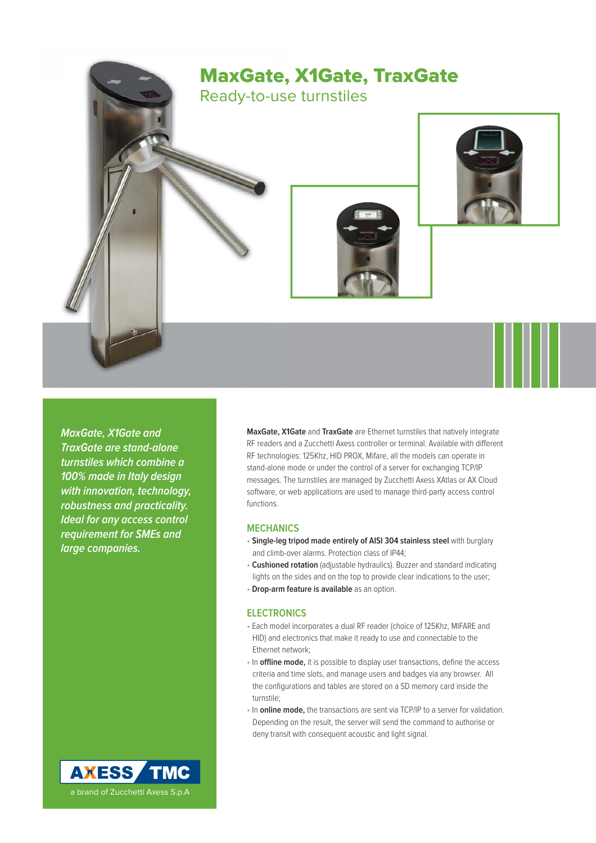

**MaxGate, X1Gate and TraxGate are stand-alone turnstiles which combine a 100% made in Italy design with innovation, technology, robustness and practicality. Ideal for any access control requirement for SMEs and large companies.**

**MaxGate, X1Gate** and **TraxGate** are Ethernet turnstiles that natively integrate RF readers and a Zucchetti Axess controller or terminal. Available with different RF technologies: 125Khz, HID PROX, Mifare, all the models can operate in stand-alone mode or under the control of a server for exchanging TCP/IP messages. The turnstiles are managed by Zucchetti Axess XAtlas or AX Cloud software, or web applications are used to manage third-party access control functions.

#### **MECHANICS**

- **Single-leg tripod made entirely of AISI 304 stainless steel** with burglary and climb-over alarms. Protection class of IP44;
- **Cushioned rotation** (adjustable hydraulics). Buzzer and standard indicating lights on the sides and on the top to provide clear indications to the user;
- **Drop-arm feature is available** as an option.

#### **ELECTRONICS**

- Each model incorporates a dual RF reader (choice of 125Khz, MIFARE and HID) and electronics that make it ready to use and connectable to the Ethernet network;
- In **offline mode,** it is possible to display user transactions, define the access criteria and time slots, and manage users and badges via any browser. All the configurations and tables are stored on a SD memory card inside the turnstile;
- In **online mode,** the transactions are sent via TCP/IP to a server for validation. Depending on the result, the server will send the command to authorise or deny transit with consequent acoustic and light signal.